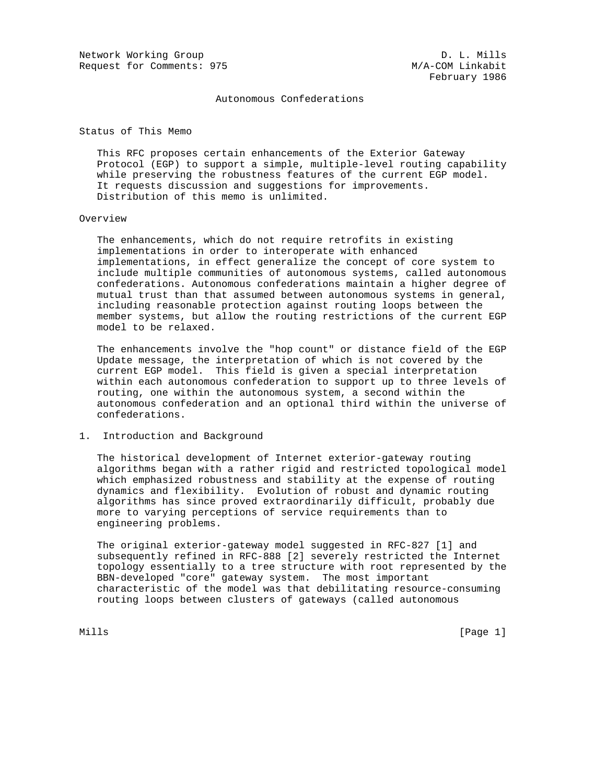Network Working Group D. L. Mills Request for Comments: 975 M/A-COM Linkabit

Autonomous Confederations

Status of This Memo

 This RFC proposes certain enhancements of the Exterior Gateway Protocol (EGP) to support a simple, multiple-level routing capability while preserving the robustness features of the current EGP model. It requests discussion and suggestions for improvements. Distribution of this memo is unlimited.

#### Overview

 The enhancements, which do not require retrofits in existing implementations in order to interoperate with enhanced implementations, in effect generalize the concept of core system to include multiple communities of autonomous systems, called autonomous confederations. Autonomous confederations maintain a higher degree of mutual trust than that assumed between autonomous systems in general, including reasonable protection against routing loops between the member systems, but allow the routing restrictions of the current EGP model to be relaxed.

 The enhancements involve the "hop count" or distance field of the EGP Update message, the interpretation of which is not covered by the current EGP model. This field is given a special interpretation within each autonomous confederation to support up to three levels of routing, one within the autonomous system, a second within the autonomous confederation and an optional third within the universe of confederations.

# 1. Introduction and Background

 The historical development of Internet exterior-gateway routing algorithms began with a rather rigid and restricted topological model which emphasized robustness and stability at the expense of routing dynamics and flexibility. Evolution of robust and dynamic routing algorithms has since proved extraordinarily difficult, probably due more to varying perceptions of service requirements than to engineering problems.

 The original exterior-gateway model suggested in RFC-827 [1] and subsequently refined in RFC-888 [2] severely restricted the Internet topology essentially to a tree structure with root represented by the BBN-developed "core" gateway system. The most important characteristic of the model was that debilitating resource-consuming routing loops between clusters of gateways (called autonomous

Mills [Page 1]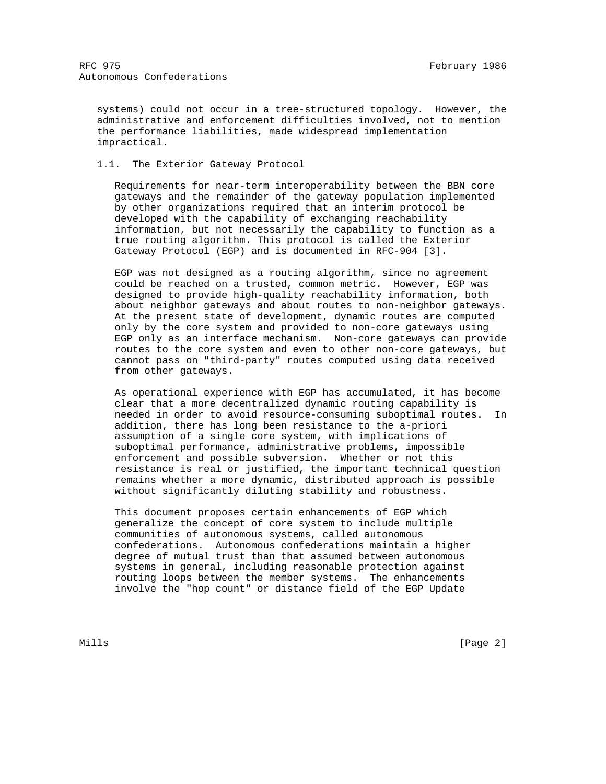systems) could not occur in a tree-structured topology. However, the administrative and enforcement difficulties involved, not to mention the performance liabilities, made widespread implementation impractical.

1.1. The Exterior Gateway Protocol

 Requirements for near-term interoperability between the BBN core gateways and the remainder of the gateway population implemented by other organizations required that an interim protocol be developed with the capability of exchanging reachability information, but not necessarily the capability to function as a true routing algorithm. This protocol is called the Exterior Gateway Protocol (EGP) and is documented in RFC-904 [3].

 EGP was not designed as a routing algorithm, since no agreement could be reached on a trusted, common metric. However, EGP was designed to provide high-quality reachability information, both about neighbor gateways and about routes to non-neighbor gateways. At the present state of development, dynamic routes are computed only by the core system and provided to non-core gateways using EGP only as an interface mechanism. Non-core gateways can provide routes to the core system and even to other non-core gateways, but cannot pass on "third-party" routes computed using data received from other gateways.

 As operational experience with EGP has accumulated, it has become clear that a more decentralized dynamic routing capability is needed in order to avoid resource-consuming suboptimal routes. In addition, there has long been resistance to the a-priori assumption of a single core system, with implications of suboptimal performance, administrative problems, impossible enforcement and possible subversion. Whether or not this resistance is real or justified, the important technical question remains whether a more dynamic, distributed approach is possible without significantly diluting stability and robustness.

 This document proposes certain enhancements of EGP which generalize the concept of core system to include multiple communities of autonomous systems, called autonomous confederations. Autonomous confederations maintain a higher degree of mutual trust than that assumed between autonomous systems in general, including reasonable protection against routing loops between the member systems. The enhancements involve the "hop count" or distance field of the EGP Update

Mills **Example 2** and the contract of the contract of the contract of the contract of  $[$  Page 2  $]$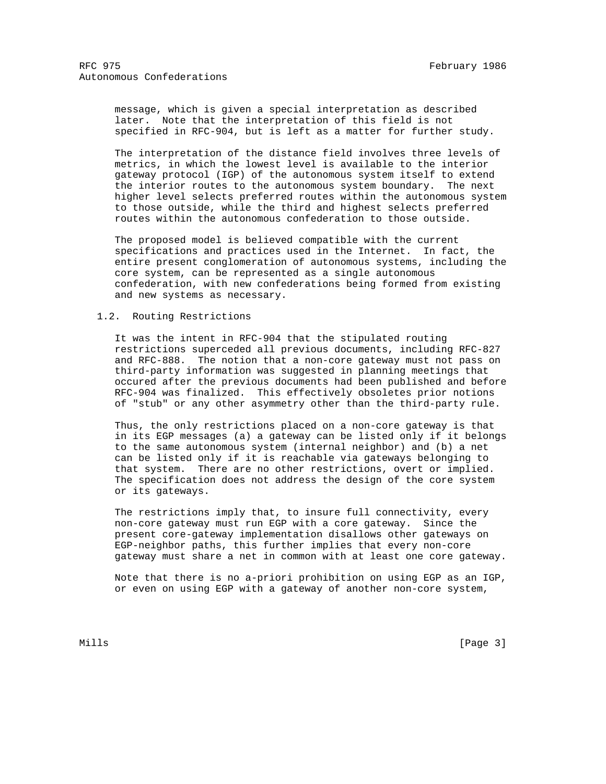message, which is given a special interpretation as described later. Note that the interpretation of this field is not specified in RFC-904, but is left as a matter for further study.

 The interpretation of the distance field involves three levels of metrics, in which the lowest level is available to the interior gateway protocol (IGP) of the autonomous system itself to extend the interior routes to the autonomous system boundary. The next higher level selects preferred routes within the autonomous system to those outside, while the third and highest selects preferred routes within the autonomous confederation to those outside.

 The proposed model is believed compatible with the current specifications and practices used in the Internet. In fact, the entire present conglomeration of autonomous systems, including the core system, can be represented as a single autonomous confederation, with new confederations being formed from existing and new systems as necessary.

# 1.2. Routing Restrictions

 It was the intent in RFC-904 that the stipulated routing restrictions superceded all previous documents, including RFC-827 and RFC-888. The notion that a non-core gateway must not pass on third-party information was suggested in planning meetings that occured after the previous documents had been published and before RFC-904 was finalized. This effectively obsoletes prior notions of "stub" or any other asymmetry other than the third-party rule.

 Thus, the only restrictions placed on a non-core gateway is that in its EGP messages (a) a gateway can be listed only if it belongs to the same autonomous system (internal neighbor) and (b) a net can be listed only if it is reachable via gateways belonging to that system. There are no other restrictions, overt or implied. The specification does not address the design of the core system or its gateways.

 The restrictions imply that, to insure full connectivity, every non-core gateway must run EGP with a core gateway. Since the present core-gateway implementation disallows other gateways on EGP-neighbor paths, this further implies that every non-core gateway must share a net in common with at least one core gateway.

 Note that there is no a-priori prohibition on using EGP as an IGP, or even on using EGP with a gateway of another non-core system,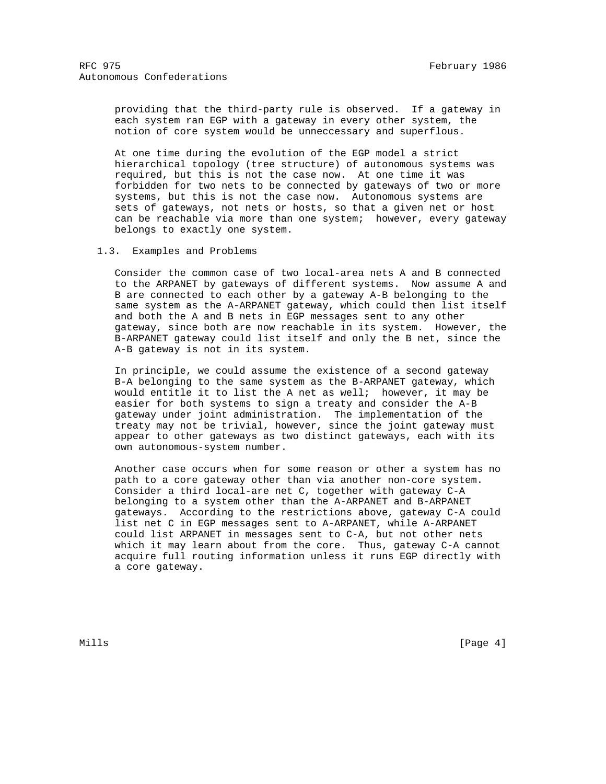providing that the third-party rule is observed. If a gateway in each system ran EGP with a gateway in every other system, the notion of core system would be unneccessary and superflous.

 At one time during the evolution of the EGP model a strict hierarchical topology (tree structure) of autonomous systems was required, but this is not the case now. At one time it was forbidden for two nets to be connected by gateways of two or more systems, but this is not the case now. Autonomous systems are sets of gateways, not nets or hosts, so that a given net or host can be reachable via more than one system; however, every gateway belongs to exactly one system.

1.3. Examples and Problems

 Consider the common case of two local-area nets A and B connected to the ARPANET by gateways of different systems. Now assume A and B are connected to each other by a gateway A-B belonging to the same system as the A-ARPANET gateway, which could then list itself and both the A and B nets in EGP messages sent to any other gateway, since both are now reachable in its system. However, the B-ARPANET gateway could list itself and only the B net, since the A-B gateway is not in its system.

 In principle, we could assume the existence of a second gateway B-A belonging to the same system as the B-ARPANET gateway, which would entitle it to list the A net as well; however, it may be easier for both systems to sign a treaty and consider the A-B gateway under joint administration. The implementation of the treaty may not be trivial, however, since the joint gateway must appear to other gateways as two distinct gateways, each with its own autonomous-system number.

 Another case occurs when for some reason or other a system has no path to a core gateway other than via another non-core system. Consider a third local-are net C, together with gateway C-A belonging to a system other than the A-ARPANET and B-ARPANET gateways. According to the restrictions above, gateway C-A could list net C in EGP messages sent to A-ARPANET, while A-ARPANET could list ARPANET in messages sent to C-A, but not other nets which it may learn about from the core. Thus, gateway C-A cannot acquire full routing information unless it runs EGP directly with a core gateway.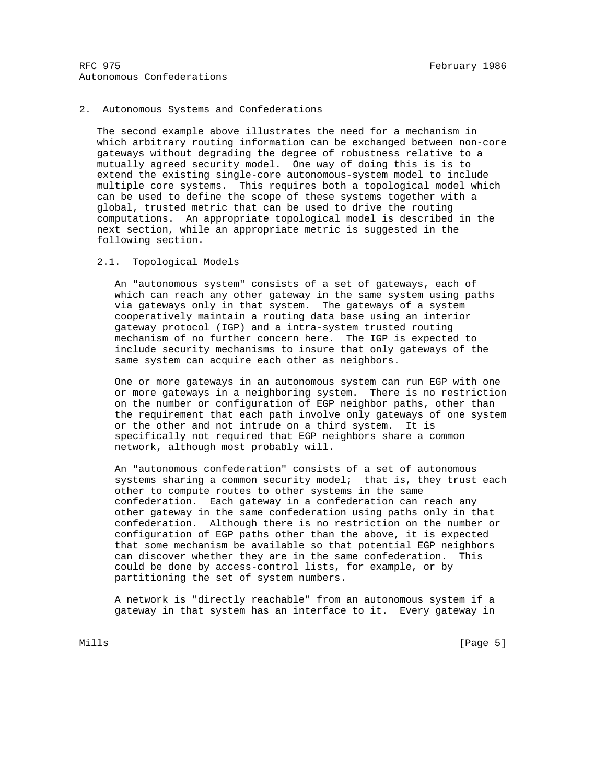## 2. Autonomous Systems and Confederations

 The second example above illustrates the need for a mechanism in which arbitrary routing information can be exchanged between non-core gateways without degrading the degree of robustness relative to a mutually agreed security model. One way of doing this is is to extend the existing single-core autonomous-system model to include multiple core systems. This requires both a topological model which can be used to define the scope of these systems together with a global, trusted metric that can be used to drive the routing computations. An appropriate topological model is described in the next section, while an appropriate metric is suggested in the following section.

### 2.1. Topological Models

 An "autonomous system" consists of a set of gateways, each of which can reach any other gateway in the same system using paths via gateways only in that system. The gateways of a system cooperatively maintain a routing data base using an interior gateway protocol (IGP) and a intra-system trusted routing mechanism of no further concern here. The IGP is expected to include security mechanisms to insure that only gateways of the same system can acquire each other as neighbors.

 One or more gateways in an autonomous system can run EGP with one or more gateways in a neighboring system. There is no restriction on the number or configuration of EGP neighbor paths, other than the requirement that each path involve only gateways of one system or the other and not intrude on a third system. It is specifically not required that EGP neighbors share a common network, although most probably will.

 An "autonomous confederation" consists of a set of autonomous systems sharing a common security model; that is, they trust each other to compute routes to other systems in the same confederation. Each gateway in a confederation can reach any other gateway in the same confederation using paths only in that confederation. Although there is no restriction on the number or configuration of EGP paths other than the above, it is expected that some mechanism be available so that potential EGP neighbors can discover whether they are in the same confederation. This could be done by access-control lists, for example, or by partitioning the set of system numbers.

 A network is "directly reachable" from an autonomous system if a gateway in that system has an interface to it. Every gateway in

Mills [Page 5]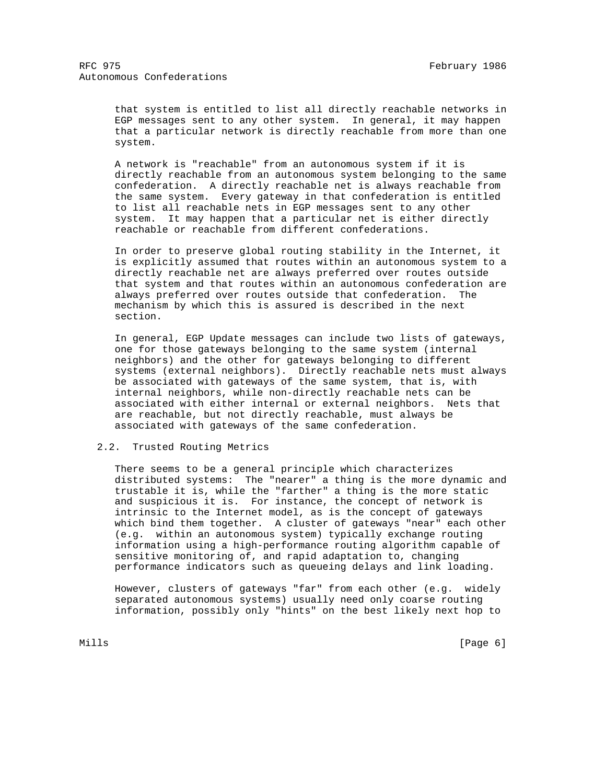that system is entitled to list all directly reachable networks in EGP messages sent to any other system. In general, it may happen that a particular network is directly reachable from more than one system.

 A network is "reachable" from an autonomous system if it is directly reachable from an autonomous system belonging to the same confederation. A directly reachable net is always reachable from the same system. Every gateway in that confederation is entitled to list all reachable nets in EGP messages sent to any other system. It may happen that a particular net is either directly reachable or reachable from different confederations.

 In order to preserve global routing stability in the Internet, it is explicitly assumed that routes within an autonomous system to a directly reachable net are always preferred over routes outside that system and that routes within an autonomous confederation are always preferred over routes outside that confederation. The mechanism by which this is assured is described in the next section.

 In general, EGP Update messages can include two lists of gateways, one for those gateways belonging to the same system (internal neighbors) and the other for gateways belonging to different systems (external neighbors). Directly reachable nets must always be associated with gateways of the same system, that is, with internal neighbors, while non-directly reachable nets can be associated with either internal or external neighbors. Nets that are reachable, but not directly reachable, must always be associated with gateways of the same confederation.

# 2.2. Trusted Routing Metrics

 There seems to be a general principle which characterizes distributed systems: The "nearer" a thing is the more dynamic and trustable it is, while the "farther" a thing is the more static and suspicious it is. For instance, the concept of network is intrinsic to the Internet model, as is the concept of gateways which bind them together. A cluster of gateways "near" each other (e.g. within an autonomous system) typically exchange routing information using a high-performance routing algorithm capable of sensitive monitoring of, and rapid adaptation to, changing performance indicators such as queueing delays and link loading.

 However, clusters of gateways "far" from each other (e.g. widely separated autonomous systems) usually need only coarse routing information, possibly only "hints" on the best likely next hop to

Mills **Example 2** (Page 6) **Mills**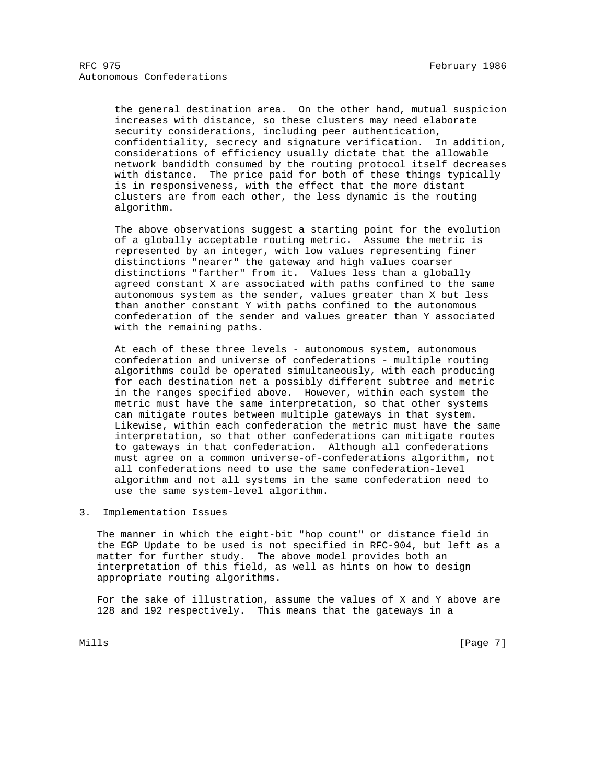the general destination area. On the other hand, mutual suspicion increases with distance, so these clusters may need elaborate security considerations, including peer authentication, confidentiality, secrecy and signature verification. In addition, considerations of efficiency usually dictate that the allowable network bandidth consumed by the routing protocol itself decreases with distance. The price paid for both of these things typically is in responsiveness, with the effect that the more distant clusters are from each other, the less dynamic is the routing algorithm.

 The above observations suggest a starting point for the evolution of a globally acceptable routing metric. Assume the metric is represented by an integer, with low values representing finer distinctions "nearer" the gateway and high values coarser distinctions "farther" from it. Values less than a globally agreed constant X are associated with paths confined to the same autonomous system as the sender, values greater than X but less than another constant Y with paths confined to the autonomous confederation of the sender and values greater than Y associated with the remaining paths.

At each of these three levels - autonomous system, autonomous confederation and universe of confederations - multiple routing algorithms could be operated simultaneously, with each producing for each destination net a possibly different subtree and metric in the ranges specified above. However, within each system the metric must have the same interpretation, so that other systems can mitigate routes between multiple gateways in that system. Likewise, within each confederation the metric must have the same interpretation, so that other confederations can mitigate routes to gateways in that confederation. Although all confederations must agree on a common universe-of-confederations algorithm, not all confederations need to use the same confederation-level algorithm and not all systems in the same confederation need to use the same system-level algorithm.

3. Implementation Issues

 The manner in which the eight-bit "hop count" or distance field in the EGP Update to be used is not specified in RFC-904, but left as a matter for further study. The above model provides both an interpretation of this field, as well as hints on how to design appropriate routing algorithms.

 For the sake of illustration, assume the values of X and Y above are 128 and 192 respectively. This means that the gateways in a

Mills [Page 7] [Page 7] [Page 7] [Page 7] [Page 7] [Page 7] [Page 7] [Page 7] [Page 7] [Page 7] [Page 7] [Page 7] [Page 7] [Page 7] [Page 7] [Page 7] [Page 7] [Page 7] [Page 7] [Page 7] [Page 7] [Page 7] [Page 7] [Page 7]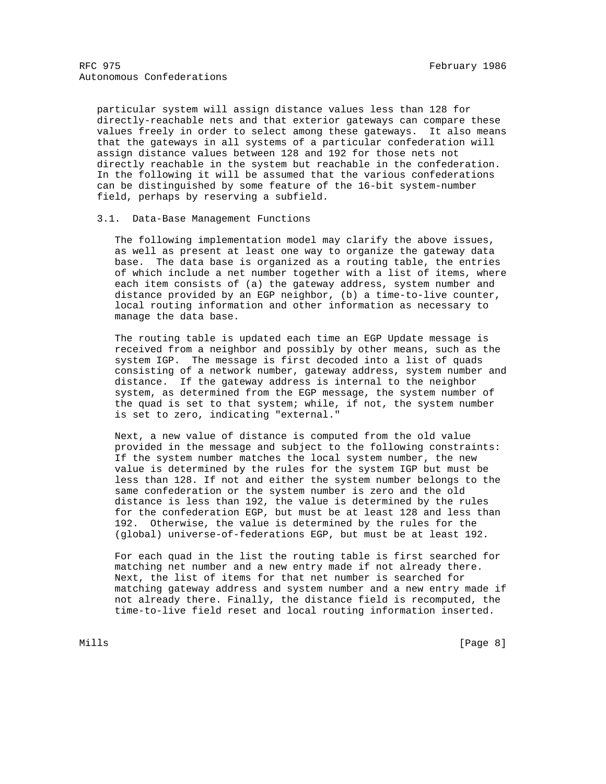particular system will assign distance values less than 128 for directly-reachable nets and that exterior gateways can compare these values freely in order to select among these gateways. It also means that the gateways in all systems of a particular confederation will assign distance values between 128 and 192 for those nets not directly reachable in the system but reachable in the confederation. In the following it will be assumed that the various confederations can be distinguished by some feature of the 16-bit system-number field, perhaps by reserving a subfield.

#### 3.1. Data-Base Management Functions

 The following implementation model may clarify the above issues, as well as present at least one way to organize the gateway data base. The data base is organized as a routing table, the entries of which include a net number together with a list of items, where each item consists of (a) the gateway address, system number and distance provided by an EGP neighbor, (b) a time-to-live counter, local routing information and other information as necessary to manage the data base.

 The routing table is updated each time an EGP Update message is received from a neighbor and possibly by other means, such as the system IGP. The message is first decoded into a list of quads consisting of a network number, gateway address, system number and distance. If the gateway address is internal to the neighbor system, as determined from the EGP message, the system number of the quad is set to that system; while, if not, the system number is set to zero, indicating "external."

 Next, a new value of distance is computed from the old value provided in the message and subject to the following constraints: If the system number matches the local system number, the new value is determined by the rules for the system IGP but must be less than 128. If not and either the system number belongs to the same confederation or the system number is zero and the old distance is less than 192, the value is determined by the rules for the confederation EGP, but must be at least 128 and less than 192. Otherwise, the value is determined by the rules for the (global) universe-of-federations EGP, but must be at least 192.

 For each quad in the list the routing table is first searched for matching net number and a new entry made if not already there. Next, the list of items for that net number is searched for matching gateway address and system number and a new entry made if not already there. Finally, the distance field is recomputed, the time-to-live field reset and local routing information inserted.

Mills **Example 20** (Page 8)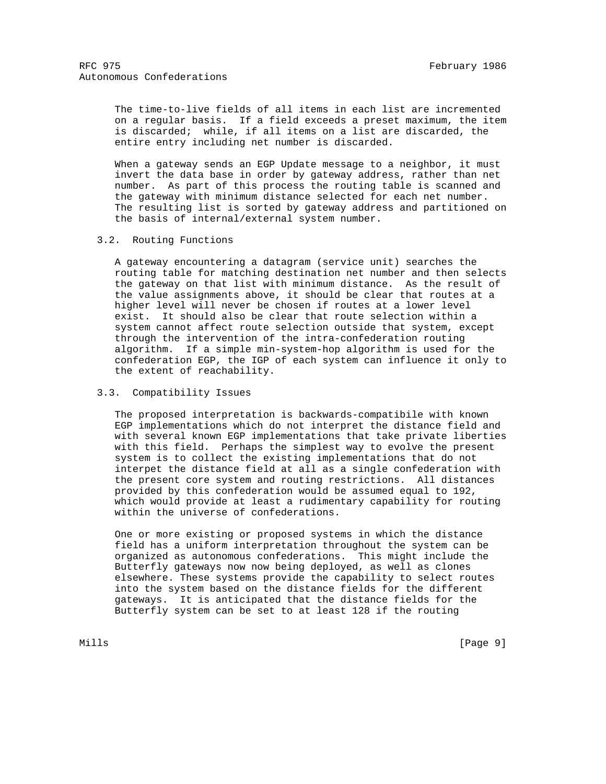The time-to-live fields of all items in each list are incremented on a regular basis. If a field exceeds a preset maximum, the item is discarded; while, if all items on a list are discarded, the entire entry including net number is discarded.

 When a gateway sends an EGP Update message to a neighbor, it must invert the data base in order by gateway address, rather than net number. As part of this process the routing table is scanned and the gateway with minimum distance selected for each net number. The resulting list is sorted by gateway address and partitioned on the basis of internal/external system number.

## 3.2. Routing Functions

 A gateway encountering a datagram (service unit) searches the routing table for matching destination net number and then selects the gateway on that list with minimum distance. As the result of the value assignments above, it should be clear that routes at a higher level will never be chosen if routes at a lower level exist. It should also be clear that route selection within a system cannot affect route selection outside that system, except through the intervention of the intra-confederation routing algorithm. If a simple min-system-hop algorithm is used for the confederation EGP, the IGP of each system can influence it only to the extent of reachability.

# 3.3. Compatibility Issues

 The proposed interpretation is backwards-compatibile with known EGP implementations which do not interpret the distance field and with several known EGP implementations that take private liberties with this field. Perhaps the simplest way to evolve the present system is to collect the existing implementations that do not interpet the distance field at all as a single confederation with the present core system and routing restrictions. All distances provided by this confederation would be assumed equal to 192, which would provide at least a rudimentary capability for routing within the universe of confederations.

 One or more existing or proposed systems in which the distance field has a uniform interpretation throughout the system can be organized as autonomous confederations. This might include the Butterfly gateways now now being deployed, as well as clones elsewhere. These systems provide the capability to select routes into the system based on the distance fields for the different gateways. It is anticipated that the distance fields for the Butterfly system can be set to at least 128 if the routing